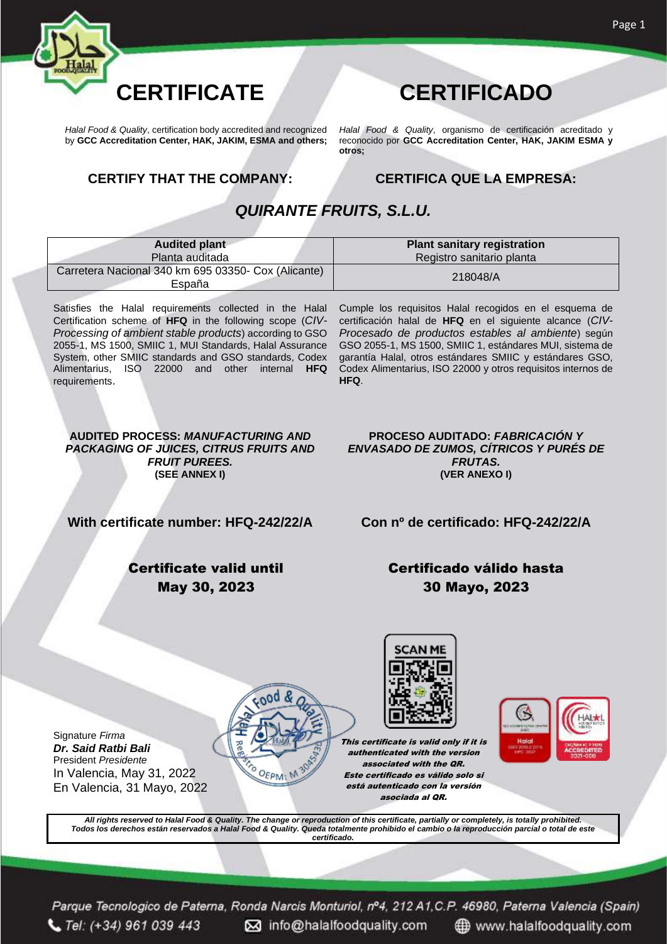

*Halal Food & Quality*, certification body accredited and recognized by **GCC Accreditation Center, HAK, JAKIM, ESMA and others;**

*Halal Food & Quality*, organismo de certificación acreditado y reconocido por **GCC Accreditation Center, HAK, JAKIM ESMA y otros;**

#### **CERTIFY THAT THE COMPANY: CERTIFICA QUE LA EMPRESA:**

#### *QUIRANTE FRUITS, S.L.U.*

| <b>Audited plant</b>                                          | <b>Plant sanitary registration</b> |
|---------------------------------------------------------------|------------------------------------|
| Planta auditada                                               | Registro sanitario planta          |
| Carretera Nacional 340 km 695 03350- Cox (Alicante)<br>España | 218048/A                           |

Satisfies the Halal requirements collected in the Halal Certification scheme of **HFQ** in the following scope (*CIV-Processing of ambient stable products*) according to GSO 2055-1, MS 1500, SMIIC 1, MUI Standards, Halal Assurance System, other SMIIC standards and GSO standards, Codex Alimentarius, ISO 22000 and other internal **HFQ** requirements.

Cumple los requisitos Halal recogidos en el esquema de certificación halal de **HFQ** en el siguiente alcance (*CIV-Procesado de productos estables al ambiente*) según GSO 2055-1, MS 1500, SMIIC 1, estándares MUI, sistema de garantía Halal, otros estándares SMIIC y estándares GSO, Codex Alimentarius, ISO 22000 y otros requisitos internos de **HFQ**.

**AUDITED PROCESS:** *MANUFACTURING AND PACKAGING OF JUICES, CITRUS FRUITS AND FRUIT PUREES.* **(SEE ANNEX I)**

**PROCESO AUDITADO:** *FABRICACIÓN Y ENVASADO DE ZUMOS, CÍTRICOS Y PURÉS DE FRUTAS.* **(VER ANEXO I)**

**With certificate number: HFQ-242/22/A Con nº de certificado: HFQ-242/22/A**

#### Certificate valid until May 30, 2023

### Certificado válido hasta 30 Mayo, 2023

This certificate is valid only if it is

authenticated with the version associated with the QR. Este certificado es válido solo si está autenticado con la versión asociada al QR.

*All rights reserved to Halal Food & Quality. The change or reproduction of this certificate, partially or completely, is totally prohibited. Todos los derechos están reservados a Halal Food & Quality. Queda totalmente prohibido el cambio o la reproducción parcial o total de este certificado.*

OEPM: N

Parque Tecnologico de Paterna, Ronda Narcis Monturiol, nº4, 212 A1, C.P. 46980, Paterna Valencia (Spain)  $C$  Tel: (+34) 961 039 443 M info@halalfoodquality.com www.halalfoodquality.com